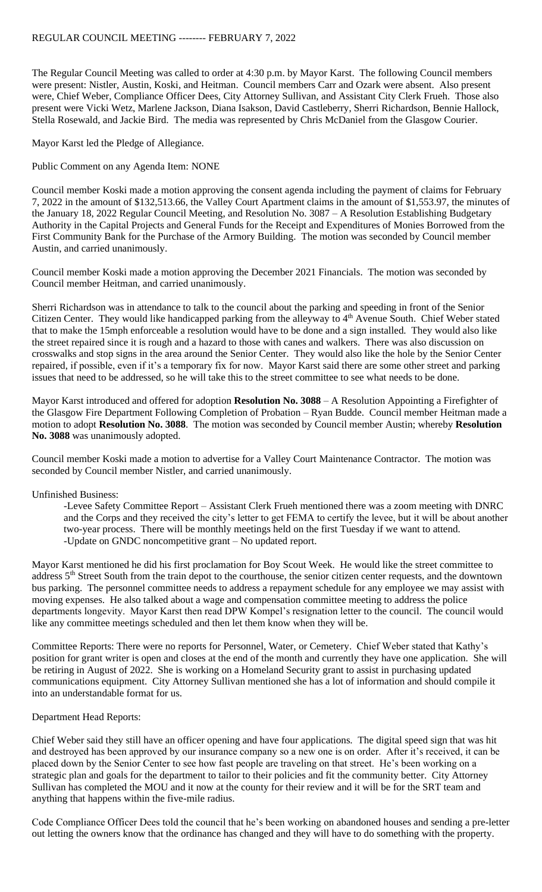The Regular Council Meeting was called to order at 4:30 p.m. by Mayor Karst. The following Council members were present: Nistler, Austin, Koski, and Heitman. Council members Carr and Ozark were absent. Also present were, Chief Weber, Compliance Officer Dees, City Attorney Sullivan, and Assistant City Clerk Frueh. Those also present were Vicki Wetz, Marlene Jackson, Diana Isakson, David Castleberry, Sherri Richardson, Bennie Hallock, Stella Rosewald, and Jackie Bird. The media was represented by Chris McDaniel from the Glasgow Courier.

Mayor Karst led the Pledge of Allegiance.

Public Comment on any Agenda Item: NONE

Council member Koski made a motion approving the consent agenda including the payment of claims for February 7, 2022 in the amount of \$132,513.66, the Valley Court Apartment claims in the amount of \$1,553.97, the minutes of the January 18, 2022 Regular Council Meeting, and Resolution No. 3087 – A Resolution Establishing Budgetary Authority in the Capital Projects and General Funds for the Receipt and Expenditures of Monies Borrowed from the First Community Bank for the Purchase of the Armory Building. The motion was seconded by Council member Austin, and carried unanimously.

Council member Koski made a motion approving the December 2021 Financials. The motion was seconded by Council member Heitman, and carried unanimously.

Sherri Richardson was in attendance to talk to the council about the parking and speeding in front of the Senior Citizen Center. They would like handicapped parking from the alleyway to 4<sup>th</sup> Avenue South. Chief Weber stated that to make the 15mph enforceable a resolution would have to be done and a sign installed. They would also like the street repaired since it is rough and a hazard to those with canes and walkers. There was also discussion on crosswalks and stop signs in the area around the Senior Center. They would also like the hole by the Senior Center repaired, if possible, even if it's a temporary fix for now. Mayor Karst said there are some other street and parking issues that need to be addressed, so he will take this to the street committee to see what needs to be done.

Mayor Karst introduced and offered for adoption **Resolution No. 3088** – A Resolution Appointing a Firefighter of the Glasgow Fire Department Following Completion of Probation – Ryan Budde. Council member Heitman made a motion to adopt **Resolution No. 3088**. The motion was seconded by Council member Austin; whereby **Resolution No. 3088** was unanimously adopted.

Council member Koski made a motion to advertise for a Valley Court Maintenance Contractor. The motion was seconded by Council member Nistler, and carried unanimously.

## Unfinished Business:

-Levee Safety Committee Report – Assistant Clerk Frueh mentioned there was a zoom meeting with DNRC and the Corps and they received the city's letter to get FEMA to certify the levee, but it will be about another two-year process. There will be monthly meetings held on the first Tuesday if we want to attend. -Update on GNDC noncompetitive grant – No updated report.

Mayor Karst mentioned he did his first proclamation for Boy Scout Week. He would like the street committee to address 5<sup>th</sup> Street South from the train depot to the courthouse, the senior citizen center requests, and the downtown bus parking. The personnel committee needs to address a repayment schedule for any employee we may assist with moving expenses. He also talked about a wage and compensation committee meeting to address the police departments longevity. Mayor Karst then read DPW Kompel's resignation letter to the council. The council would like any committee meetings scheduled and then let them know when they will be.

Committee Reports: There were no reports for Personnel, Water, or Cemetery. Chief Weber stated that Kathy's position for grant writer is open and closes at the end of the month and currently they have one application. She will be retiring in August of 2022. She is working on a Homeland Security grant to assist in purchasing updated communications equipment. City Attorney Sullivan mentioned she has a lot of information and should compile it into an understandable format for us.

## Department Head Reports:

Chief Weber said they still have an officer opening and have four applications. The digital speed sign that was hit and destroyed has been approved by our insurance company so a new one is on order. After it's received, it can be placed down by the Senior Center to see how fast people are traveling on that street. He's been working on a strategic plan and goals for the department to tailor to their policies and fit the community better. City Attorney Sullivan has completed the MOU and it now at the county for their review and it will be for the SRT team and anything that happens within the five-mile radius.

Code Compliance Officer Dees told the council that he's been working on abandoned houses and sending a pre-letter out letting the owners know that the ordinance has changed and they will have to do something with the property.